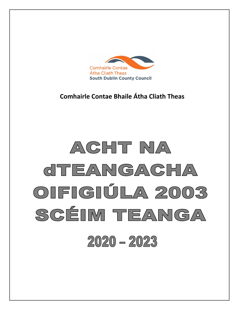

**Comhairle Contae Bhaile Átha Cliath Theas**

# ACHT NA CITEANGACHA OIFIGIÚLA 2003 SCEIM TEANGA  $2020 - 2023$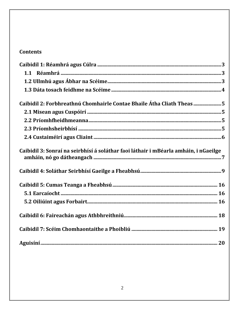## **Contents**

| Caibidil 2: Forbhreathnú Chomhairle Contae Bhaile Átha Cliath Theas 5                |
|--------------------------------------------------------------------------------------|
|                                                                                      |
|                                                                                      |
|                                                                                      |
|                                                                                      |
| Caibidil 3: Sonraí na seirbhísí á soláthar faoi láthair i mBéarla amháin, i nGaeilge |
|                                                                                      |
|                                                                                      |
|                                                                                      |
|                                                                                      |
|                                                                                      |
|                                                                                      |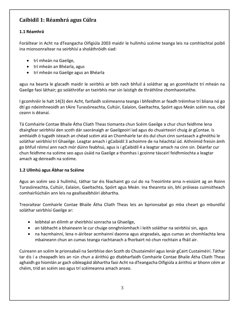## <span id="page-2-0"></span>**Caibidil 1: Réamhrá agus Cúlra**

#### <span id="page-2-1"></span>**1.1 Réamhrá**

Foráiltear in Acht na dTeangacha Oifigiúla 2003 maidir le hullmhú scéime teanga leis na comhlachtaí poiblí ina mionsonraítear na seirbhísí a sholáthróidh siad:

- trí mheán na Gaeilge,
- trí mheán an Bhéarla, agus
- trí mheán na Gaeilge agus an Bhéarla

agus na bearta le glacadh maidir le seirbhís ar bith nach bhfuil á soláthar ag an gcomhlacht trí mheán na Gaeilge faoi láthair; go soláthrófar an tseirbhís mar sin laistigh de thráthlíne chomhaontaithe.

I gcomhréir le halt 14(3) den Acht, fanfaidh scéimeanna teanga i bhfeidhm ar feadh tréimhse trí bliana nó go dtí go ndeimhneoidh an tAire Turasóireachta, Cultúir, Ealaíon, Gaeltachta, Spóirt agus Meán scéim nua, cibé ceann is déanaí.

Tá Comhairle Contae Bhaile Átha Cliath Theas tiomanta chun Scéim Gaeilge a chur chun feidhme lena dtairgfear seirbhísí den scoth dár saoránaigh ar Gaeilgeoirí iad agus do chuairteoirí chuig ár gContae. Is amhlaidh ó tugadh isteach an chéad scéim atá an Chomhairle tar éis dul chun cinn suntasach a ghnóthú le soláthar seirbhísí trí Ghaeilge. Leagtar amach i gCaibidil 3 achoimre de na héachtaí úd. Aithnímid freisin ámh go bhfuil réimsí ann nach mór dúinn feabhsú, agus is i gCaibidil 4 a leagtar amach na cinn sin. Déanfar cur chun feidhme na scéime seo agus úsáid na Gaeilge a thomhas i gcoinne táscairí feidhmíochta a leagtar amach ag deireadh na scéime.

#### <span id="page-2-2"></span>**1.2 Ullmhú agus Ábhar na Scéime**

Agus an scéim seo á hullmhú, táthar tar éis féachaint go cuí do na Treoirlínte arna n-eisiúint ag an Roinn Turasóireachta, Cultúir, Ealaíon, Gaeltachta, Spóirt agus Meán. Ina theannta sin, bhí próiseas cuimsitheach comhairliúcháin ann leis na geallsealbhóiri ábhartha.

Treoraítear Comhairle Contae Bhaile Átha Cliath Theas leis an bprionsabal go mba cheart go mbunófaí soláthar seirbhísí Gaeilge ar:

- leibhéal an éilimh ar sheirbhísí sonracha sa Ghaeilge,
- an tábhacht a bhaineann le cur chuige onnghníomhach i leith soláthar na seirbhísí sin, agus
- na hacmhainní, lena n-áirítear acmhainní daonna agus airgeadais, agus cumas an chomhlachta lena mbaineann chun an cumas teanga riachtanach a fhorbairt nó chun rochtain a fháil air.

Cuireann an scéim le prionsabail na Seirbhíse den Scoth do Chustaiméirí agus lenár gCairt Custaiméirí. Táthar tar éis í a cheapadh leis an rún chun a áirithiú go dtabharfaidh Comhairle Contae Bhaile Átha Cliath Theas aghaidh go hiomlán ar gach oibleagáid ábhartha faoi Acht na dTeangacha Oifigiúla a áirithiú ar bhonn céim ar chéim, tríd an scéim seo agus trí scéimeanna amach anseo.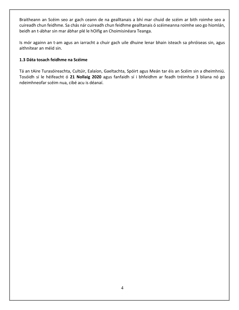Braitheann an Scéim seo ar gach ceann de na gealltanais a bhí mar chuid de scéim ar bith roimhe seo a cuireadh chun feidhme. Sa chás nár cuireadh chun feidhme gealltanais ó scéimeanna roimhe seo go hiomlán, beidh an t-ábhar sin mar ábhar plé le hOifig an Choimisinéara Teanga.

Is mór againn an t-am agus an iarracht a chuir gach uile dhuine lenar bhain isteach sa phróiseas sin, agus aithnítear an méid sin.

#### <span id="page-3-0"></span>**1.3 Dáta tosach feidhme na Scéime**

Tá an tAire Turasóireachta, Cultúir, Ealaíon, Gaeltachta, Spóirt agus Meán tar éis an Scéim sin a dheimhniú. Tosóidh sí le héifeacht ó **21 Nollaig 2020** agus fanfaidh sí i bhfeidhm ar feadh tréimhse 3 bliana nó go ndeimhneofar scéim nua, cibé acu is déanaí.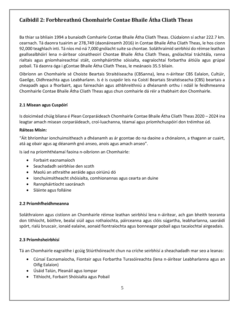## <span id="page-4-0"></span>**Caibidil 2: Forbhreathnú Chomhairle Contae Bhaile Átha Cliath Theas**

Ba thiar sa bhliain 1994 a bunaíodh Comhairle Contae Bhaile Átha Cliath Theas. Clúdaíonn sí achar 222.7 km. cearnach. Tá daonra tuairim ar 278,749 (daonáireamh 2016) in Contae Bhaile Átha Cliath Theas, le hos cionn 92,000 teaghlach inti. Tá níos mó ná 7,000 gnólacht suite sa chontae. Soláthraímid seirbhísí do réimse leathan geallsealbhóirí lena n-áirítear cónaitheoirí Chontae Bhaile Átha Cliath Theas, gnólachtaí tráchtála, ranna rialtais agus gníomhaireachtaí stáit, comhpháirtithe sóisialta, eagraíochtaí forbartha áitiúla agus grúpaí pobail. Tá daonra óga i gContae Bhaile Átha Cliath Theas, le meánaois 35.5 bliain.

Oibríonn an Chomhairle sé Choiste Beartais Straitéiseacha (CBSanna), lena n-áirítear CBS Ealaíon, Cultúir, Gaeilge, Oidhreachta agus Leabharlann. Is é is cuspóir leis na Coistí Beartais Straitéiseacha (CBS) beartais a cheapadh agus a fhorbairt, agus faireachán agus athbhreithniú a dhéanamh orthu i ndáil le feidhmeanna Chomhairle Contae Bhaile Átha Cliath Theas agus chun comhairle dá réir a thabhairt don Chomhairle.

#### <span id="page-4-1"></span>**2.1 Misean agus Cuspóirí**

Is doiciméad chúig bliana é Plean Corparáideach Chomhairle Contae Bhaile Átha Cliath Theas 2020 – 2024 ina leagtar amach misean corparáideach, croí-luachanna, téamaí agus príomhchuspóirí don tréimhse úd.

#### **Ráiteas Misin:**

"Áit bhríomhar ionchuimsitheach a dhéanamh as ár gcontae do na daoine a chónaíonn, a thagann ar cuairt, atá ag obair agus ag déanamh gnó anseo, anois agus amach anseo".

Is iad na príomhthéamaí faoina n-oibríonn an Chomhairle:

- Forbairt eacnamaíoch
- Seachadadh seirbhíse den scoth
- Maolú an athraithe aeráide agus oiriúnú dó
- Ionchuimsitheacht shóisialta, comhionannas agus cearta an duine
- Rannpháirtíocht saoránach
- Sláinte agus folláine

#### <span id="page-4-2"></span>**2.2 Príomhfheidhmeanna**

Soláthraíonn agus cistíonn an Chomhairle réimse leathan seirbhísí lena n-áirítear, ach gan bheith teoranta don tithíocht, bóithre, bealaí siúil agus rothaíochta, páirceanna agus clóis súgartha, leabharlanna, saoráidí spórt, rialú bruscair, ionaid ealaíne, aonaid fiontraíochta agus bonneagar pobail agus tacaíochtaí airgeadais.

#### <span id="page-4-3"></span>**2.3 Príomhsheirbhísí**

Tá an Chomhairle eagraithe i gcúig Stiúrthóireacht chun na críche seirbhísí a sheachadadh mar seo a leanas:

- Cúrsaí Eacnamaíocha, Fiontair agus Forbartha Turasóireachta (lena n-áirítear Leabharlanna agus an Oifig Ealaíon)
- Úsáid Talún, Pleanáil agus Iompar
- Tithíocht, Forbairt Shóisialta agus Pobail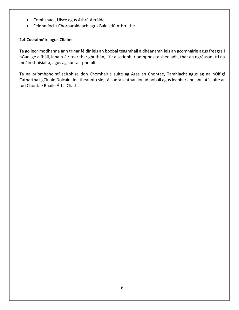- Comhshaol, Uisce agus Athrú Aeráide
- Feidhmíocht Chorparáideach agus Bainistiú Athruithe

#### <span id="page-5-0"></span>**2.4 Custaiméirí agus Cliaint**

Tá go leor modhanna ann trínar féidir leis an bpobal teagmháil a dhéanamh leis an gcomhairle agus freagra i nGaeilge a fháil, lena n-áirítear thar ghuthán, litir a scríobh, ríomhphost a sheoladh, thar an ngréasán, trí na meáin shóisialta, agus ag cuntair phoiblí.

Tá na príomhphointí seirbhíse don Chomhairle suite ag Áras an Chontae, Tamhlacht agus ag na hOifigí Cathartha i gCluain Dolcáin. Ina theannta sin, tá líonra leathan ionad pobail agus leabharlann ann atá suite ar fud Chontae Bhaile Átha Cliath.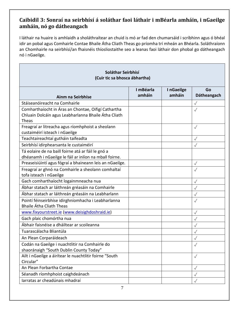## <span id="page-6-0"></span>**Caibidil 3: Sonraí na seirbhísí á soláthar faoi láthair i mBéarla amháin, i nGaeilge amháin, nó go dátheangach**

I láthair na huaire is amhlaidh a sholáthraítear an chuid is mó ar fad den chumarsáid i scríbhinn agus ó bhéal idir an pobal agus Comhairle Contae Bhaile Átha Cliath Theas go príomha trí mheán an Bhéarla. Soláthraíonn an Chomhairle na seirbhísí/an fhaisnéis thíosliostaithe seo a leanas faoi láthair don phobal go dátheangach nó i nGaeilge.

| Soláthar Seirbhísí<br>(Cuir tic sa bhosca ábhartha)                                                                  |                     |                     |                   |  |  |
|----------------------------------------------------------------------------------------------------------------------|---------------------|---------------------|-------------------|--|--|
| Ainm na Seirbhíse                                                                                                    | I mBéarla<br>amháin | InGaeilge<br>amháin | Go<br>Dátheangach |  |  |
| Stáiseanóireacht na Comhairle                                                                                        |                     |                     | $\checkmark$      |  |  |
| Comharthaíocht in Áras an Chontae, Oifigí Cathartha<br>Chluain Dolcáin agus Leabharlanna Bhaile Átha Cliath<br>Theas |                     |                     | $\sqrt{}$         |  |  |
| Freagraí ar litreacha agus ríomhphoist a sheolann<br>custaiméirí isteach i nGaeilge                                  |                     |                     | $\checkmark$      |  |  |
| Teachtaireachtaí gutháin taifeadta                                                                                   |                     |                     | $\checkmark$      |  |  |
| Seirbhísí idirphearsanta le custaiméirí                                                                              |                     |                     | $\sqrt{}$         |  |  |
| Tá eolaire de na baill foirne atá ar fáil le gnó a<br>dhéanamh i nGaeilge le fáil ar inlíon na mball foirne.         |                     |                     |                   |  |  |
| Preaseisiúintí agus fógraí a bhaineann leis an nGaeilge.                                                             |                     |                     | $\checkmark$      |  |  |
| Freagraí ar ghnó na Comhairle a sheolann comhaltaí<br>tofa isteach i nGaeilge                                        |                     |                     | $\checkmark$      |  |  |
| Gach comharthaíocht logainmneacha nua                                                                                |                     |                     | $\checkmark$      |  |  |
| Ábhar statach ar láithreán gréasáin na Comhairle                                                                     |                     |                     | $\sqrt{}$         |  |  |
| Ábhar statach ar láithreán gréasáin na Leabharlann                                                                   |                     |                     | $\checkmark$      |  |  |
| Pointí féinseirbhíse idirghníomhacha i Leabharlanna<br><b>Bhaile Átha Cliath Theas</b>                               |                     |                     | $\sqrt{}$         |  |  |
| www.fixyourstreet.ie (www.deisighdoshraid.ie)                                                                        |                     |                     | $\checkmark$      |  |  |
| Gach plaic chomórtha nua                                                                                             |                     |                     | $\checkmark$      |  |  |
| Ábhair faisnéise a dháiltear ar scoileanna                                                                           |                     |                     | $\checkmark$      |  |  |
| Tuarascálacha Bliantúla                                                                                              |                     |                     | $\checkmark$      |  |  |
| An Plean Corparáideach                                                                                               |                     |                     | $\checkmark$      |  |  |
| Codán na Gaeilge i nuachtlitir na Comhairle do<br>shaoránaigh "South Dublin County Today"                            |                     |                     |                   |  |  |
| Ailt i nGaeilge a áirítear le nuachtlitir foirne "South<br>Circular"                                                 |                     |                     | $\sqrt{}$         |  |  |
| An Plean Forbartha Contae                                                                                            |                     |                     | $\sqrt{}$         |  |  |
| Séanadh ríomhphoist caighdeánach                                                                                     |                     |                     | $\checkmark$      |  |  |
| larratas ar cheadúnais mhadraí                                                                                       |                     |                     | $\checkmark$      |  |  |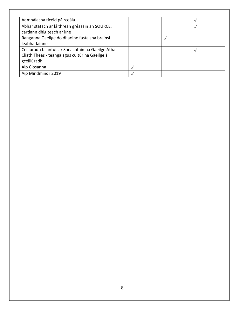<span id="page-7-0"></span>

| Admhálacha ticéid páirceála                        |  |  |
|----------------------------------------------------|--|--|
| Ábhar statach ar láithreán gréasáin an SOURCE,     |  |  |
| cartlann dhigiteach ar líne                        |  |  |
| Ranganna Gaeilge do dhaoine fásta sna brainsí      |  |  |
| leabharlainne                                      |  |  |
| Ceiliúradh bliantúil ar Sheachtain na Gaeilge Átha |  |  |
| Cliath Theas - teanga agus cultúr na Gaeilge á     |  |  |
| gceiliúradh                                        |  |  |
| Aip Cíosanna                                       |  |  |
| Aip Mindmindr 2019                                 |  |  |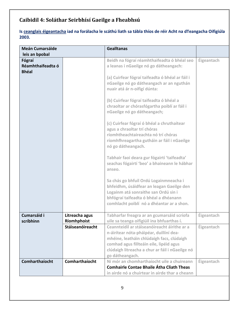# **Caibidil 4: Soláthar Seirbhísí Gaeilge a Fheabhsú**

**Is ceanglais éigeantacha iad na forálacha le scáthú liath sa tábla thíos de réir Acht na dTeangacha Oifigiúla 2003.**

| <b>Meán Cumarsáide</b>                      |                               | <b>Gealltanas</b>                                                                                                                                                                                                                                     |            |
|---------------------------------------------|-------------------------------|-------------------------------------------------------------------------------------------------------------------------------------------------------------------------------------------------------------------------------------------------------|------------|
| leis an bpobal                              |                               |                                                                                                                                                                                                                                                       |            |
| Fógraí<br>Réamhthaifeadta ó<br><b>Bhéal</b> |                               | Beidh na fógraí réamhthaifeadta ó bhéal seo<br>a leanas i nGaeilge nó go dátheangach:                                                                                                                                                                 | Éigeantach |
|                                             |                               | (a) Cuirfear fógraí taifeadta ó bhéal ar fáil i<br>nGaeilge nó go dátheangach ar an nguthán<br>nuair atá ár n-oifigí dúnta:                                                                                                                           |            |
|                                             |                               | (b) Cuirfear fógraí taifeadta ó bhéal a<br>chraoltar ar chórasfógartha poiblí ar fáil i<br>nGaeilge nó go dátheangach;                                                                                                                                |            |
|                                             |                               | (c) Cuirfear fógraí ó bhéal a chruthaítear<br>agus a chraoltar trí chóras<br>ríomhtheachtaireachta nó trí chóras<br>ríomhfhreagartha gutháin ar fáil i nGaeilge<br>nó go dátheangach.                                                                 |            |
|                                             |                               | Tabhair faoi deara gur fógairtí 'taifeadta'<br>seachas fógairtí 'beo' a bhaineann le hábhar<br>anseo.                                                                                                                                                 |            |
|                                             |                               | Sa chás go bhfuil Ordú Logainmneacha i<br>bhfeidhm, úsáidfear an leagan Gaeilge den<br>Logainm atá sonraithe san Ordú sin i<br>bhfógraí taifeadta ó bhéal a dhéanann<br>comhlacht poiblí nó a dhéantar ar a shon.                                     |            |
| Cumarsáid i<br>scríbhinn                    | Litreacha agus<br>Ríomhphoist | Tabharfar freagra ar an gcumarsáid scríofa<br>uile sa teanga oifigiúil ina bhfuarthas í.                                                                                                                                                              | Éigeantach |
|                                             | Stáiseanóireacht              | Ceannteidil ar stáiseanóireacht áirithe ar a<br>n-áirítear nóta-pháipéar, duillíní dea-<br>mhéine, leatháin chlúdaigh facs, clúdaigh<br>comhad agus fillteáin eile, lipéid agus<br>clúdaigh litreacha a chur ar fáil i nGaeilge nó<br>go dátheangach. | Éigeantach |
| Comharthaíocht                              | Comharthaíocht                | Ní mór an chomharthaíocht uile a chuireann<br><b>Comhairle Contae Bhaile Átha Cliath Theas</b><br>in airde nó a chuirtear in airde thar a cheann                                                                                                      | Éigeantach |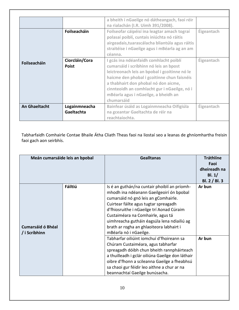|                      |                                | a bheith i nGaeilge nó dátheangach, faoi réir                                                                                                                                                                                                                                                                                  |            |
|----------------------|--------------------------------|--------------------------------------------------------------------------------------------------------------------------------------------------------------------------------------------------------------------------------------------------------------------------------------------------------------------------------|------------|
|                      |                                | na rialachán (I.R. Uimh 391/2008).                                                                                                                                                                                                                                                                                             |            |
|                      | Foilseacháin                   | Foilseofar cáipéisí ina leagtar amach tograí<br>polasaí poiblí, cuntais iniúchta nó ráitis<br>airgeadais, tuaras cálacha bliantúla agus ráitis<br>straitéise i nGaeilge agus i mBéarla ag an am<br>céanna.                                                                                                                     | Éigeantach |
| Foilseacháin         | Ciorcláin/Cora<br><b>Poist</b> | I gcás ina ndéanfaidh comhlacht poiblí<br>cumarsáid i scríbhinn nó leis an bpost<br>leictreonach leis an bpobal i gcoitinne nó le<br>haicme den phobal i gcoitinne chun faisnéis<br>a thabhairt don phobal nó don aicme,<br>cinnteoidh an comhlacht gur i nGaeilge, nó i<br>mBéarla agus i nGaeilge, a bheidh an<br>chumarsáid | Éigeantach |
| <b>An Ghaeltacht</b> | Logainmneacha                  | Bainfear úsáid as Logainmneacha Oifigiúla                                                                                                                                                                                                                                                                                      | Éigeantach |
|                      | Gaeltachta                     | na gceantar Gaeltachta de réir na<br>reachtaíochta.                                                                                                                                                                                                                                                                            |            |

┑

Tabharfaidh Comhairle Contae Bhaile Átha Cliath Theas faoi na liostaí seo a leanas de ghníomhartha freisin faoi gach aon seirbhís.

|                                           | Meán cumarsáide leis an bpobal | <b>Gealltanas</b>                                                                                                                                                                                                                                                                                                                                                                | <b>Tráthlíne</b><br>Faoi<br>dheireadh na<br>Bl. $1/$<br>BI. 2 / BI. 3 |
|-------------------------------------------|--------------------------------|----------------------------------------------------------------------------------------------------------------------------------------------------------------------------------------------------------------------------------------------------------------------------------------------------------------------------------------------------------------------------------|-----------------------------------------------------------------------|
| <b>Cumarsáid ó Bhéal</b><br>/ i Scríbhinn | Fáiltiú                        | Is é an guthán/na cuntair phoiblí an príomh-<br>mhodh ina ndéanann Gaeilgeoirí ón bpobal<br>cumarsáid nó gnó leis an gComhairle.<br>Cuirtear fáilte agus tugtar spreagadh<br>d'fhiosruithe i nGaeilge trí Aonad Cúraim<br>Custaiméara na Comhairle, agus tá<br>uimhreacha gutháin éagsúla lena ndiailiú ag<br>brath ar rogha an ghlaoiteora labhairt i<br>mBéarla nó i nGaeilge. | Ar bun                                                                |
|                                           |                                | Tabharfar oiliúint iomchuí d'fhoireann sa<br>Chúram Custaiméara, agus tabharfar<br>spreagadh dóibh chun bheith rannpháirteach<br>a thuilleadh i gclár oiliúna Gaeilge don láthair<br>oibre d'fhonn a scileanna Gaeilge a fheabhsú<br>sa chaoi gur féidir leo aithne a chur ar na<br>beannachtaí Gaeilge bunúsacha.                                                               | Ar bun                                                                |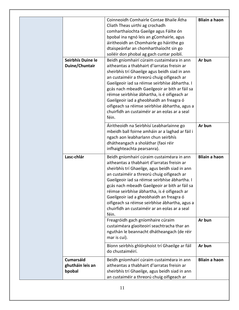| Seirbhís Duine le<br>Duine/Chuntair            | Coinneoidh Comhairle Contae Bhaile Átha<br>Cliath Theas uirthi ag crochadh<br>comharthaíochta Gaeilge agus Fáilte ón<br>bpobal ina ngnó leis an gComhairle, agus<br>áiritheoidh an Chomhairle go háirithe go<br>dtaispeánfar an chomharthaíocht sin go<br>soiléir don phobal ag gach cuntar poiblí.<br>Beidh gníomhairí cúraim custaiméara in ann<br>aitheantas a thabhairt d'iarratas freisin ar<br>sheirbhís trí Ghaeilge agus beidh siad in ann<br>an custaiméir a threorú chuig oifigeach ar<br>Gaeilgeoir iad sa réimse seirbhíse ábhartha. I<br>gcás nach mbeadh Gaeilgeoir ar bith ar fáil sa<br>réimse seirbhíse ábhartha, is é oifigeach ar<br>Gaeilgeoir iad a gheobhaidh an freagra ó<br>oifigeach sa réimse seirbhíse ábhartha, agus a<br>chuirfidh an custaiméir ar an eolas ar a seal<br>féin. | <b>Bliain a haon</b><br>Ar bun |
|------------------------------------------------|--------------------------------------------------------------------------------------------------------------------------------------------------------------------------------------------------------------------------------------------------------------------------------------------------------------------------------------------------------------------------------------------------------------------------------------------------------------------------------------------------------------------------------------------------------------------------------------------------------------------------------------------------------------------------------------------------------------------------------------------------------------------------------------------------------------|--------------------------------|
|                                                | Áiritheoidh na Seirbhísí Leabharlainne go<br>mbeidh ball foirne amháin ar a laghad ar fáil i<br>ngach aon leabharlann chun seirbhís<br>dhátheangach a sholáthar (faoi réir<br>infhaighteachta pearsanra).                                                                                                                                                                                                                                                                                                                                                                                                                                                                                                                                                                                                    | Ar bun                         |
| Lasc-chlár                                     | Beidh gníomhairí cúraim custaiméara in ann<br>aitheantas a thabhairt d'iarratas freisin ar<br>sheirbhís trí Ghaeilge, agus beidh siad in ann<br>an custaiméir a threorú chuig oifigeach ar<br>Gaeilgeoir iad sa réimse seirbhíse ábhartha. I<br>gcás nach mbeadh Gaeilgeoir ar bith ar fáil sa<br>réimse seirbhíse ábhartha, is é oifigeach ar<br>Gaeilgeoir iad a gheobhaidh an freagra ó<br>oifigeach sa réimse seirbhíse ábhartha, agus a<br>chuirfidh an custaiméir ar an eolas ar a seal<br>féin.                                                                                                                                                                                                                                                                                                       | <b>Bliain a haon</b>           |
|                                                | Freagróidh gach gníomhaire cúraim<br>custaiméara glaoiteoirí seachtracha thar an<br>nguthán le beannacht dhátheangach (de réir<br>mar is cuí).                                                                                                                                                                                                                                                                                                                                                                                                                                                                                                                                                                                                                                                               | Ar bun                         |
|                                                | Bíonn seirbhís ghlórphoist trí Ghaeilge ar fáil<br>do chustaiméirí.                                                                                                                                                                                                                                                                                                                                                                                                                                                                                                                                                                                                                                                                                                                                          | Ar bun                         |
| <b>Cumarsáid</b><br>ghutháin leis an<br>bpobal | Beidh gníomhairí cúraim custaiméara in ann<br>aitheantas a thabhairt d'iarratas freisin ar<br>sheirbhís trí Ghaeilge, agus beidh siad in ann<br>an custaiméir a threorú chuig oifigeach ar                                                                                                                                                                                                                                                                                                                                                                                                                                                                                                                                                                                                                   | <b>Bliain a haon</b>           |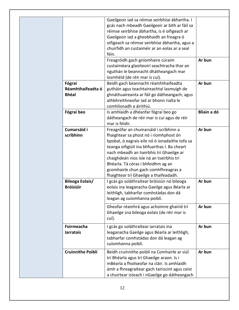|                                             | Gaeilgeoir iad sa réimse seirbhíse ábhartha. I<br>gcás nach mbeadh Gaeilgeoir ar bith ar fáil sa<br>réimse seirbhíse ábhartha, is é oifigeach ar<br>Gaeilgeoir iad a gheobhaidh an freagra ó<br>oifigeach sa réimse seirbhíse ábhartha, agus a<br>chuirfidh an custaiméir ar an eolas ar a seal<br>féin.                                                                                           |             |
|---------------------------------------------|----------------------------------------------------------------------------------------------------------------------------------------------------------------------------------------------------------------------------------------------------------------------------------------------------------------------------------------------------------------------------------------------------|-------------|
|                                             | Freagróidh gach gníomhaire cúraim<br>custaiméara glaoiteoirí seachtracha thar an<br>nguthán le beannacht dhátheangach mar<br>íosmhéid (de réir mar is cuí).                                                                                                                                                                                                                                        | Ar bun      |
| Fógraí<br>Réamhthaifeadta ó<br><b>Bhéal</b> | Beidh gach beannacht réamhthaifeadta<br>gutháin agus teachtaireachtaí lasmuigh de<br>ghnáthuaireanta ar fáil go dátheangach; agus<br>athbhreithneofar iad ar bhonn rialta le<br>comhlíonadh a áirithiú.                                                                                                                                                                                            | Ar bun      |
| Fógraí beo                                  | Is amhlaidh a dhéanfar fógraí beo go<br>dátheangach de réir mar is cuí agus de réir<br>mar is féidir.                                                                                                                                                                                                                                                                                              | Bliain a dó |
| Cumarsáid i<br>scríbhinn                    | Freagrófar an chumarsáid i scríbhinn a<br>fhaightear sa phost nó i ríomhphost ón<br>bpobal, ó eagrais eile nó ó ionadaithe tofa sa<br>teanga oifigiúil ina bhfuarthas í. Ba cheart<br>nach mbeadh an tseirbhís trí Ghaeilge ar<br>chaighdeán níos ísle ná an tseirbhís trí<br>Bhéarla. Tá córas i bhfeidhm ag an<br>gcomhairle chun gach comhfhreagras a<br>fhaightear trí Ghaeilge a thaifeadadh. | Ar bun      |
| Bileoga Eolais/<br><b>Bróisiúir</b>         | I gcás go soláthraítear bróisiúir nó bileoga<br>eolais ina leaganacha Gaeilge agus Béarla ar<br>leithligh, tabharfar comhstádas don dá<br>leagan ag suíomhanna poiblí.                                                                                                                                                                                                                             | Ar bun      |
|                                             | Gheofar réamhrá agus achoimre ghairid trí<br>Ghaeilge sna bileoga eolais (de réir mar is<br>cuí).                                                                                                                                                                                                                                                                                                  | Ar bun      |
| Foirmeacha<br><b>larratais</b>              | I gcás go soláthraítear iarratais ina<br>leaganacha Gaeilge agus Béarla ar leithligh,<br>tabharfar comhstádas don dá leagan ag<br>suíomhanna poiblí.                                                                                                                                                                                                                                               | Ar bun      |
| <b>Cruinnithe Poiblí</b>                    | Beidh cruinnithe poiblí na Comhairle ar siúl<br>trí Bhéarla agus trí Ghaeilge araon. Is i<br>mBéarla a fhoilseofar na cláir. Is amhlaidh<br>ámh a fhreagraítear gach tairiscint agus ceist<br>a chuirtear isteach i nGaeilge go dátheangach                                                                                                                                                        | Ar bun      |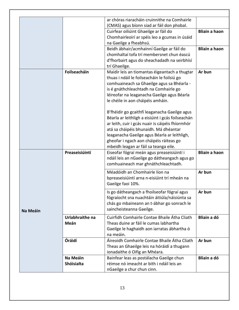|                 |                 | ar chóras riaracháin cruinnithe na Comhairle                                                 |                      |
|-----------------|-----------------|----------------------------------------------------------------------------------------------|----------------------|
|                 |                 | (CMAS) agus bíonn siad ar fáil don phobal.                                                   |                      |
|                 |                 | Cuirfear oiliúint Ghaeilge ar fáil do                                                        | <b>Bliain a haon</b> |
|                 |                 | Chomhairleoirí ar spéis leo a gcumas in úsáid                                                |                      |
|                 |                 | na Gaeilge a fheabhsú.                                                                       |                      |
|                 |                 | Beidh ábhair/acmhainní Gaeilge ar fáil do                                                    | <b>Bliain a haon</b> |
|                 |                 | chomhaltaí tofa trí membersnet chun éascú                                                    |                      |
|                 |                 | d'fhorbairt agus do sheachadadh na seirbhísí                                                 |                      |
|                 |                 | trí Ghaeilge.                                                                                |                      |
|                 | Foilseacháin    | Maidir leis an tiomantas éigeantach a thugtar                                                | Ar bun               |
|                 |                 | thuas i ndáil le foilseacháin le foilsiú go                                                  |                      |
|                 |                 | comhuaineach sa Ghaeilge agus sa Bhéarla -                                                   |                      |
|                 |                 | is é gnáthchleachtadh na Comhairle go                                                        |                      |
|                 |                 | léireofar na leaganacha Gaeilge agus Béarla                                                  |                      |
|                 |                 | le chéile in aon cháipéis amháin.                                                            |                      |
|                 |                 | B'fhéidir go gcaithfí leaganacha Gaeilge agus                                                |                      |
|                 |                 | Béarla ar leithligh a eisiúint i gcás foilseachán                                            |                      |
|                 |                 | ar leith, cuir i gcás nuair is cáipéis fhíormhór                                             |                      |
|                 |                 | atá sa cháipéis bhunaidh. Má dhéantar                                                        |                      |
|                 |                 | leaganacha Gaeilge agus Béarla ar leithligh,                                                 |                      |
|                 |                 | gheofar i ngach aon cháipéis ráiteas go                                                      |                      |
|                 |                 | mbeidh leagan ar fáil sa teanga eile.                                                        |                      |
|                 | Preaseisiúintí  | Eiseofar fógraí meán agus preaseisiúintí i                                                   | <b>Bliain a haon</b> |
|                 |                 | ndáil leis an nGaeilge go dátheangach agus go                                                |                      |
|                 |                 | comhuaineach mar ghnáthchleachtadh.                                                          |                      |
|                 |                 | Méadóidh an Chomhairle líon na                                                               | Ar bun               |
|                 |                 | bpreaseisiúintí arna n-eisiúint trí mheán na                                                 |                      |
|                 |                 | Gaeilge faoi 10%.                                                                            |                      |
|                 |                 |                                                                                              | Ar bun               |
|                 |                 | Is go dátheangach a fhoilseofar fógraí agus<br>fógraíocht sna nuachtáin áitiúla/náisiúnta sa |                      |
|                 |                 | chás go mbaineann an t-ábhar go sonrach le                                                   |                      |
|                 |                 | saincheisteanna Gaeilge.                                                                     |                      |
| <b>Na Meáin</b> |                 |                                                                                              |                      |
|                 | Urlabhraithe na | Cuirfidh Comhairle Contae Bhaile Átha Cliath                                                 | Bliain a dó          |
|                 | Meán            | Theas duine ar fáil le cumas labhartha                                                       |                      |
|                 |                 | Gaeilge le haghaidh aon iarratas ábhartha ó                                                  |                      |
|                 |                 | na meáin.                                                                                    |                      |
|                 | Óráidí          | Áireoidh Comhairle Contae Bhaile Átha Cliath                                                 | Ar bun               |
|                 |                 | Theas an Ghaeilge leis na hóráidí a thugann                                                  |                      |
|                 |                 | ionadaithe ó Oifig an Mhéara.                                                                |                      |
|                 | Na Meáin        | Bainfear leas as postálacha Gaeilge chun                                                     | Bliain a dó          |
|                 | Shóisialta      | réimse nó imeacht ar bith i ndáil leis an                                                    |                      |
|                 |                 | nGaeilge a chur chun cinn.                                                                   |                      |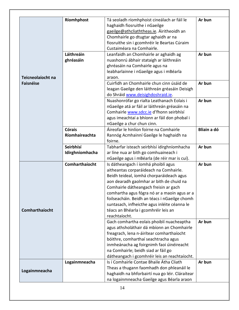|                   | Ríomhphost      | Tá seoladh ríomhphoist cineálach ar fáil le                                                   | Ar bun             |
|-------------------|-----------------|-----------------------------------------------------------------------------------------------|--------------------|
|                   |                 | haghaidh fiosruithe i nGaeilge                                                                |                    |
|                   |                 | gaeilge@athcliaththeas.ie. Airitheoidh an                                                     |                    |
|                   |                 | Chomhairle go dtugtar aghaidh ar na                                                           |                    |
|                   |                 | fiosruithe sin i gcomhréir le Beartas Cúraim                                                  |                    |
|                   |                 | Custaiméara na Comhairle.                                                                     |                    |
|                   | Láithreáin      | Leanfaidh an Chomhairle ar aghaidh ag                                                         | Ar bun             |
|                   | ghréasáin       | nuashonrú ábhair stataigh ar láithreáin                                                       |                    |
|                   |                 | ghréasáin na Comhairle agus na                                                                |                    |
|                   |                 | leabharlainne i nGaeilge agus i mBéarla                                                       |                    |
| Teicneolaíocht na |                 | araon.                                                                                        |                    |
| <b>Faisnéise</b>  |                 | Cuirfidh an Chomhairle chun cinn úsáid de                                                     | Ar bun             |
|                   |                 | leagan Gaeilge den láithreán gréasáin Deisigh                                                 |                    |
|                   |                 | do Shráid www.deisighdoshraid.ie.                                                             |                    |
|                   |                 | Nuashonrófar go rialta Leathanach Eolais i                                                    | Ar bun             |
|                   |                 | nGaeilge atá ar fáil ar láithreán gréasáin na                                                 |                    |
|                   |                 | Comhairle www.sdcc.ie d'fhonn seirbhísí                                                       |                    |
|                   |                 | agus imeachtaí a bhíonn ar fáil don phobal i                                                  |                    |
|                   |                 | nGaeilge a chur chun cinn.                                                                    |                    |
|                   | <b>Córais</b>   | Áireofar le hinlíon foirne na Comhairle                                                       | <b>Bliain a dó</b> |
|                   | Ríomhaireachta  | Rannóg Acmhainní Gaeilge le haghaidh na                                                       |                    |
|                   |                 | foirne.                                                                                       |                    |
|                   | Seirbhísí       | Tabharfar isteach seirbhísí idirghníomhacha                                                   | Ar bun             |
|                   |                 |                                                                                               |                    |
|                   |                 |                                                                                               |                    |
|                   | Idirghníomhacha | ar líne nua ar bith go comhuaineach i                                                         |                    |
|                   |                 | nGaeilge agus i mBéarla (de réir mar is cuí).                                                 |                    |
|                   | Comharthaíocht  | Is dátheangach í íomhá phoiblí agus                                                           | Ar bun             |
|                   |                 | aitheantas corparáideach na Comhairle.                                                        |                    |
|                   |                 | Beidh teideal, íomhá chorparáideach agus                                                      |                    |
|                   |                 | aon dearadh gaolmhar ar bith de chuid na                                                      |                    |
|                   |                 | Comhairle dátheangach freisin ar gach                                                         |                    |
|                   |                 | comhartha agus fógra nó ar a maoin agus ar a                                                  |                    |
|                   |                 | foilseacháin. Beidh an téacs i nGaeilge chomh                                                 |                    |
|                   |                 | suntasach, infheicthe agus inléite céanna le                                                  |                    |
| Comharthaíocht    |                 | téacs an Bhéarla i gcomhréir leis an                                                          |                    |
|                   |                 | reachtaíocht.                                                                                 |                    |
|                   |                 | Gach comhartha eolais phoiblí nuacheaptha                                                     | Ar bun             |
|                   |                 | agus athsholáthair dá mbíonn an Chomhairle                                                    |                    |
|                   |                 | freagrach, lena n-áirítear comharthaíocht                                                     |                    |
|                   |                 | bóithre, comharthaí seachtracha agus                                                          |                    |
|                   |                 | inmheánacha ag foirgnimh faoi úinéireacht                                                     |                    |
|                   |                 | na Comhairle; beidh siad ar fáil go                                                           |                    |
|                   |                 | dátheangach i gcomhréir leis an reachtaíocht.                                                 |                    |
|                   | Logainmneacha   | Is í Comhairle Contae Bhaile Átha Cliath                                                      | Ar bun             |
| Logainmneacha     |                 | Theas a thugann faomhadh don phleanáil le                                                     |                    |
|                   |                 | haghaidh na bhforbairtí nua go léir. Cláraítear<br>na logainmneacha Gaeilge agus Béarla araon |                    |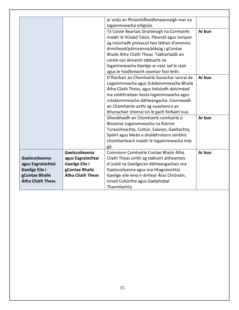|                          |                          | ar ordú an Phríomhfheidhmeannaigh mar na      |        |
|--------------------------|--------------------------|-----------------------------------------------|--------|
|                          |                          | logainmneacha oifigiúla.                      |        |
|                          |                          | Tá Coiste Beartais Straitéisigh na Comhairle  | Ar bun |
|                          |                          | maidir le hÚsáid Talún, Pleanáil agus Iompair |        |
|                          |                          | ag iniúchadh prótacail faoi láthair d'ainmniú |        |
|                          |                          | droichead/páirceanna/plásóg i gContae         |        |
|                          |                          | Bhaile Átha Cliath Theas. Tabharfaidh an      |        |
|                          |                          | coiste san áireamh tábhacht na                |        |
|                          |                          | logainmneacha Gaeilge ar nasc iad le stair    |        |
|                          |                          | agus le hoidhreacht ceantair faoi leith.      |        |
|                          |                          | D'fhorbair an Chomhairle bunachar sonraí de   | Ar bun |
|                          |                          |                                               |        |
|                          |                          | Logainmneacha agus Sráidainmneacha Bhaile     |        |
|                          |                          | Átha Cliath Theas, agus foilsíodh doiciméad   |        |
|                          |                          | ina soláthraítear liosta logainmneacha agus   |        |
|                          |                          | sráidainmneacha dátheangacha. Coinneoidh      |        |
|                          |                          | an Chomhairle uirthi ag nuashonrú an          |        |
|                          |                          | bhunachair shonraí sin le gach forbairt nua.  |        |
|                          |                          | Gheobhaidh an Chomhairle comhairle ó          | Ar bun |
|                          |                          | Bhrainse Logainmneacha na Roinne              |        |
|                          |                          | Turasóireachta, Cultúir, Ealaíon, Gaeltachta, |        |
|                          |                          | Spóirt agus Meán a sholáthraíonn seirbhís     |        |
|                          |                          | chomhairleach maidir le logainmneacha más     |        |
|                          |                          | gá.                                           |        |
|                          | Gaelscoileanna           | Coinníonn Comhairle Contae Bhaile Átha        | Ar bun |
| Gaelscoileanna           | agus Eagraíochtaí        | Cliath Theas uirthi ag tabhairt aitheantais   |        |
| agus Eagraíochtaí        | Gaeilge Eile i           | d'úsáid na Gaeilge/an dátheangachais sna      |        |
| Gaeilge Eile i           | gContae Bhaile           | Gaelscoileanna agus sna hEagraíochtaí         |        |
| gContae Bhaile           | <b>Átha Cliath Theas</b> | Gaeilge eile lena n-áirítear Áras Chrónáin,   |        |
| <b>Átha Cliath Theas</b> |                          | Ionad Cultúrtha agus Gaelphobal               |        |
|                          |                          | Thamhlachta.                                  |        |

┑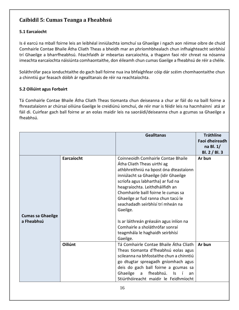## <span id="page-15-0"></span>**Caibidil 5: Cumas Teanga a Fheabhsú**

#### <span id="page-15-1"></span>**5.1 Earcaíocht**

Is é earcú na mball foirne leis an leibhéal inniúlachta iomchuí sa Ghaeilge i ngach aon réimse oibre de chuid Comhairle Contae Bhaile Átha Cliath Theas a bheidh mar an phríomhbhealach chun infhaighteacht seirbhísí trí Ghaeilge a bharrfheabhsú. Féachfaidh ár mbeartas earcaíochta, a thagann faoi réir chreat na nósanna imeachta earcaíochta náisiúnta comhaontaithe, don éileamh chun cumas Gaeilge a fheabhsú de réir a chéile.

Soláthrófar paca ionduchtaithe do gach ball foirne nua ina bhfaighfear cóip dár scéim chomhaontaithe chun a chinntiú gur feasach dóibh ár ngealltanais de réir na reachtaíochta.

#### <span id="page-15-2"></span>**5.2 Oiliúint agus Forbairt**

Tá Comhairle Contae Bhaile Átha Cliath Theas tiomanta chun deiseanna a chur ar fáil do na baill foirne a fhreastalaíonn ar chúrsaí oiliúna Gaeilge le creidiúnú iomchuí, de réir mar is féidir leis na hacmhainní atá ar fáil di. Cuirfear gach ball foirne ar an eolas maidir leis na saoráidí/deiseanna chun a gcumas sa Ghaeilge a fheabhsú.

|                                        |            | <b>Gealltanas</b>                                                                                                                                                                                                                                                                                                                                          | <b>Tráthlíne</b><br>Faoi dheireadh<br>na Bl. $1/$<br>BI. 2 / BI. 3 |
|----------------------------------------|------------|------------------------------------------------------------------------------------------------------------------------------------------------------------------------------------------------------------------------------------------------------------------------------------------------------------------------------------------------------------|--------------------------------------------------------------------|
|                                        | Earcaíocht | Coinneoidh Comhairle Contae Bhaile<br>Átha Cliath Theas uirthi ag<br>athbhreithniú na bpost óna dteastaíonn<br>inniúlacht sa Ghaeilge (idir Ghaeilge<br>scríofa agus labhartha) ar fud na<br>heagraíochta. Leithdháilfidh an<br>Chomhairle baill foirne le cumas sa<br>Ghaeilge ar fud ranna chun tacú le<br>seachadadh seirbhísí trí mheán na<br>Gaeilge. | Ar bun                                                             |
| <b>Cumas sa Ghaeilge</b><br>a Fheabhsú |            | Is ar láithreán gréasáin agus inlíon na<br>Comhairle a sholáthrófar sonraí<br>teagmhála le haghaidh seirbhísí<br>Gaeilge.                                                                                                                                                                                                                                  |                                                                    |
|                                        | Oiliúnt    | Tá Comhairle Contae Bhaile Átha Cliath<br>Theas tiomanta d'fheabhsú eolas agus<br>scileanna na bhfostaithe chun a chinntiú<br>go dtugtar spreagadh gníomhach agus<br>deis do gach ball foirne a gcumas sa<br>Ghaeilge<br>fheabhsú.<br>Is<br>$\mathsf{a}$<br>an<br>Stiúrthóireacht maidir le Feidhmíocht                                                    | Ar bun                                                             |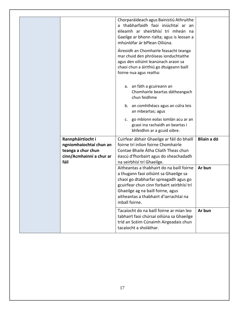|                          | Chorparáideach agus Bainistiú Athruithe                                                                                 |             |
|--------------------------|-------------------------------------------------------------------------------------------------------------------------|-------------|
|                          | a thabharfaidh faoi iniúchtaí ar an                                                                                     |             |
|                          | éileamh ar sheirbhísí trí mheán na                                                                                      |             |
|                          | Gaeilge ar bhonn rialta; agus is leosan a                                                                               |             |
|                          | mhúnlófar ár bPlean Oiliúna.                                                                                            |             |
|                          | Áireoidh an Chomhairle feasacht teanga<br>mar chuid den phróiseas ionduchtaithe<br>agus den oiliúint leanúnach araon sa |             |
|                          | chaoi chun a áirithiú go dtuigeann baill<br>foirne nua agus reatha:                                                     |             |
|                          | a. an fáth a gcuireann an<br>Chomhairle beartas dátheangach<br>chun feidhme                                             |             |
|                          | b. an comhthéacs agus an cúlra leis<br>an mbeartas; agus                                                                |             |
|                          | c. go mbíonn eolas iomlán acu ar an<br>gcaoi ina rachaidh an beartas i<br>bhfeidhm ar a gcuid oibre.                    |             |
| Rannpháirtíocht i        | Cuirfear ábhair Ghaeilge ar fáil do bhaill                                                                              | Bliain a dó |
| ngníomhaíochtaí chun an  | foirne trí inlíon foirne Chomhairle                                                                                     |             |
| teanga a chur chun       | Contae Bhaile Átha Cliath Theas chun                                                                                    |             |
| cinn/Acmhainní a chur ar | éascú d'fhorbairt agus do sheachadadh                                                                                   |             |
| fáil                     | na seirbhísí trí Ghaeilge.                                                                                              |             |
|                          | Aitheantas a thabhairt do na baill foirne                                                                               | Ar bun      |
|                          | a thugann faoi oiliúint sa Ghaeilge sa                                                                                  |             |
|                          | chaoi go dtabharfar spreagadh agus go                                                                                   |             |
|                          | gcuirfear chun cinn forbairt seirbhísí trí<br>Ghaeilge ag na baill foirne, agus                                         |             |
|                          | aitheantas a thabhairt d'iarrachtaí na                                                                                  |             |
|                          | mball foirne.                                                                                                           |             |
|                          | Tacaíocht do na baill foirne ar mian leo                                                                                | Ar bun      |
|                          | tabhairt faoi chúrsaí oiliúna sa Ghaeilge                                                                               |             |
|                          | tríd an Scéim Cúnaimh Airgeadais chun<br>tacaíocht a sholáthar.                                                         |             |
|                          |                                                                                                                         |             |

┑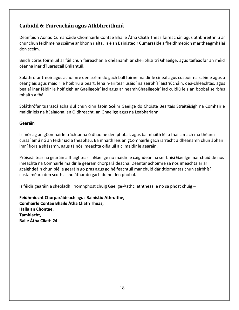### <span id="page-17-0"></span>**Caibidil 6: Faireachán agus Athbhreithniú**

Déanfaidh Aonad Cumarsáide Chomhairle Contae Bhaile Átha Cliath Theas faireachán agus athbhreithniú ar chur chun feidhme na scéime ar bhonn rialta. Is é an Bainisteoir Cumarsáide a fheidhmeoidh mar theagmhálaí don scéim.

Beidh córas foirmiúil ar fáil chun faireachán a dhéanamh ar sheirbhísí trí Ghaeilge, agus taifeadfar an méid céanna inár dTuarascáil Bhliantúil.

Soláthrófar treoir agus achoimre den scéim do gach ball foirne maidir le cineál agus cuspóir na scéime agus a ceanglais agus maidir le hoibriú a beart, lena n-áirítear úsáidí na seirbhísí aistriúcháin, dea-chleachtas, agus bealaí inar féidir le hoifigigh ar Gaeilgeoirí iad agus ar neamhGhaeilgeoirí iad cuidiú leis an bpobal seirbhís mhaith a fháil.

Soláthrófar tuarascálacha dul chun cinn faoin Scéim Gaeilge do Choiste Beartais Straitéisigh na Comhairle maidir leis na hEalaíona, an Oidhreacht, an Ghaeilge agus na Leabharlann.

#### **Gearáin**

Is mór ag an gComhairle tráchtanna ó dhaoine den phobal, agus ba mhaith léi a fháil amach má théann cúrsaí amú nó an féidir iad a fheabhsú. Ba mhaith leis an gComhairle gach iarracht a dhéanamh chun ábhair imní fíora a shásamh, agus tá nós imeachta oifigiúil aici maidir le gearáin.

Próiseáiltear na gearáin a fhaightear i nGaeilge nó maidir le caighdeán na seirbhísí Gaeilge mar chuid de nós imeachta na Comhairle maidir le gearáin chorparáideacha. Déantar achoimre sa nós imeachta ar ár gcaighdeáin chun plé le gearáin go pras agus go héifeachtúil mar chuid dár dtiomantas chun seirbhísí custaiméara den scoth a sholáthar do gach duine den phobal.

Is féidir gearáin a sheoladh i ríomhphost chuig Gaeilge@athcliaththeas.ie nó sa phost chuig –

**Feidhmíocht Chorparáideach agus Bainistiú Athruithe, Comhairle Contae Bhaile Átha Cliath Theas, Halla an Chontae, Tamhlacht, Baile Átha Cliath 24.**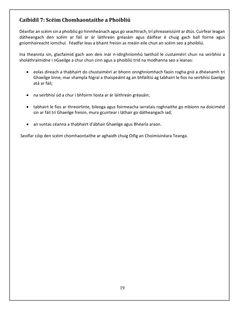## <span id="page-18-0"></span>**Caibidil 7: Scéim Chomhaontaithe a Phoibliú**

Déanfar an scéim sin a phoibliú go hinmheánach agus go seachtrach, trí phreaseisiúint ar dtús. Cuirfear leagan dátheangach den scéim ar fáil ar ár láithreán gréasáin agus dáilfear é chuig gach ball foirne agus gníomhaireacht iomchuí. Féadfar leas a bhaint freisin as meáin eile chun an scéim seo a phoibliú.

Ina theannta sin, glacfaimid gach aon deis inár n-idirghníomhú laethúil le custaiméirí chun na seirbhísí a sholáthraímidne i nGaeilge a chur chun cinn agus a phoibliú tríd na modhanna seo a leanas:

- eolas díreach a thabhairt do chustaiméirí ar bhonn onnghníomhach faoin rogha gnó a dhéanamh trí Ghaeilge linne, mar shampla fógraí a thaispeáint ag an bhfáiltiú ag tabhairt le fios na seirbhísí Gaeilge atá ar fáil;
- na seirbhísí úd a chur i bhfoirm liosta ar ár láithreán gréasáin;
- tabhairt le fios ar threoirlínte, bileoga agus foirmeacha iarratais roghnaithe go mbíonn na doiciméid sin ar fáil trí Ghaeilge freisin, mura gcuirtear i láthair go dátheangach iad;
- an suntas céanna a thabhairt d'ábhair Ghaeilge agus Bhéarla araon.

Seolfar cóip den scéim chomhaontaithe ar aghaidh chuig Oifig an Choimisinéara Teanga.